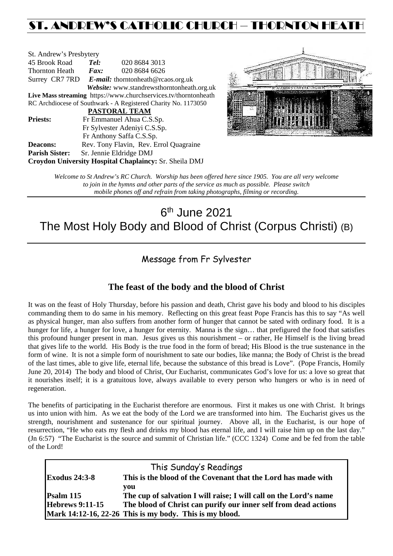## ST. ANDREW'S CATHOLIC CHURCH – THORNTON HEATH

| St. Andrew's Presbytery                                         |                                                   |                                        |  |  |  |
|-----------------------------------------------------------------|---------------------------------------------------|----------------------------------------|--|--|--|
| 45 Brook Road                                                   | Tel:                                              | 020 8684 3013                          |  |  |  |
| Thornton Heath                                                  | Fax:                                              | 020 8684 6626                          |  |  |  |
|                                                                 | Surrey CR7 7RD E-mail: thorntonheath@rcaos.org.uk |                                        |  |  |  |
| Website: www.standrewsthorntonheath.org.uk                      |                                                   |                                        |  |  |  |
| Live Mass streaming https://www.churchservices.tv/thorntonheath |                                                   |                                        |  |  |  |
| RC Archdiocese of Southwark - A Registered Charity No. 1173050  |                                                   |                                        |  |  |  |
| <b>PASTORAL TEAM</b>                                            |                                                   |                                        |  |  |  |
| <b>Priests:</b>                                                 | Fr Emmanuel Ahua C.S.Sp.                          |                                        |  |  |  |
| Fr Sylvester Adeniyi C.S.Sp.                                    |                                                   |                                        |  |  |  |
|                                                                 |                                                   | Fr Anthony Saffa C.S.Sp.               |  |  |  |
| <b>Deacons:</b>                                                 |                                                   | Rev. Tony Flavin, Rev. Errol Quagraine |  |  |  |
| <b>Parish Sister:</b>                                           |                                                   | Sr. Jennie Eldridge DMJ                |  |  |  |
| Croydon University Hospital Chaplaincy: Sr. Sheila DMJ          |                                                   |                                        |  |  |  |



*Welcome to St Andrew's RC Church. Worship has been offered here since 1905. You are all very welcome to join in the hymns and other parts of the service as much as possible. Please switch mobile phones off and refrain from taking photographs, filming or recording.*

# $6<sup>th</sup>$  June 2021 The Most Holy Body and Blood of Christ (Corpus Christi) (B)

### Message from Fr Sylvester

### **The feast of the body and the blood of Christ**

It was on the feast of Holy Thursday, before his passion and death, Christ gave his body and blood to his disciples commanding them to do same in his memory. Reflecting on this great feast Pope Francis has this to say "As well as physical hunger, man also suffers from another form of hunger that cannot be sated with ordinary food. It is a hunger for life, a hunger for love, a hunger for eternity. Manna is the sign... that prefigured the food that satisfies this profound hunger present in man. Jesus gives us this nourishment – or rather, He Himself is the living bread that gives life to the world. His Body is the true food in the form of bread; His Blood is the true sustenance in the form of wine. It is not a simple form of nourishment to sate our bodies, like manna; the Body of Christ is the bread of the last times, able to give life, eternal life, because the substance of this bread is Love". (Pope Francis, Homily June 20, 2014) The body and blood of Christ, Our Eucharist, communicates God's love for us: a love so great that it nourishes itself; it is a gratuitous love, always available to every person who hungers or who is in need of regeneration.

The benefits of participating in the Eucharist therefore are enormous. First it makes us one with Christ. It brings us into union with him. As we eat the body of the Lord we are transformed into him. The Eucharist gives us the strength, nourishment and sustenance for our spiritual journey. Above all, in the Eucharist, is our hope of resurrection, "He who eats my flesh and drinks my blood has eternal life, and I will raise him up on the last day." (Jn 6:57) "The Eucharist is the source and summit of Christian life." (CCC 1324) Come and be fed from the table of the Lord!

| This Sunday's Readings |                                                                   |  |  |  |
|------------------------|-------------------------------------------------------------------|--|--|--|
| <b>Exodus 24:3-8</b>   | This is the blood of the Covenant that the Lord has made with     |  |  |  |
|                        | you                                                               |  |  |  |
| $\mathbf{Psalm}$ 115   | The cup of salvation I will raise; I will call on the Lord's name |  |  |  |
| <b>Hebrews 9:11-15</b> | The blood of Christ can purify our inner self from dead actions   |  |  |  |
|                        | Mark 14:12-16, 22-26 This is my body. This is my blood.           |  |  |  |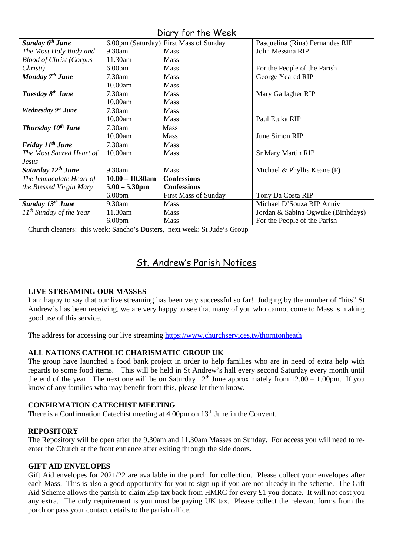Diary for the Week

| Sunday 6 <sup>th</sup> June    |                    | 6.00pm (Saturday) First Mass of Sunday | Pasquelina (Rina) Fernandes RIP    |
|--------------------------------|--------------------|----------------------------------------|------------------------------------|
| The Most Holy Body and         | $9.30$ am          | <b>Mass</b>                            | John Messina RIP                   |
| <b>Blood of Christ (Corpus</b> | 11.30am            | <b>Mass</b>                            |                                    |
| Christi)                       | 6.00 <sub>pm</sub> | <b>Mass</b>                            | For the People of the Parish       |
| Monday 7 <sup>th</sup> June    | $7.30$ am          | <b>Mass</b>                            | George Yeared RIP                  |
|                                | 10.00am            | <b>Mass</b>                            |                                    |
| Tuesday 8 <sup>th</sup> June   | 7.30am             | <b>Mass</b>                            | Mary Gallagher RIP                 |
|                                | 10.00am            | <b>Mass</b>                            |                                    |
| Wednesday 9 <sup>th</sup> June | 7.30am             | Mass                                   |                                    |
|                                | 10.00am            | <b>Mass</b>                            | Paul Etuka RIP                     |
| Thursday 10 <sup>th</sup> June | 7.30am             | <b>Mass</b>                            |                                    |
|                                | 10.00am            | <b>Mass</b>                            | June Simon RIP                     |
| Friday 11 <sup>th</sup> June   | 7.30am             | <b>Mass</b>                            |                                    |
| The Most Sacred Heart of       | 10.00am            | <b>Mass</b>                            | <b>Sr Mary Martin RIP</b>          |
| Jesus                          |                    |                                        |                                    |
| Saturday 12 <sup>th</sup> June | 9.30am             | <b>Mass</b>                            | Michael & Phyllis Keane $(F)$      |
| The Immaculate Heart of        | $10.00 - 10.30$ am | <b>Confessions</b>                     |                                    |
| the Blessed Virgin Mary        | $5.00 - 5.30$ pm   | <b>Confessions</b>                     |                                    |
|                                | 6.00 <sub>pm</sub> | <b>First Mass of Sunday</b>            | Tony Da Costa RIP                  |
| Sunday 13 <sup>th</sup> June   | 9.30am             | <b>Mass</b>                            | Michael D'Souza RIP Anniv          |
| $11^{th}$ Sunday of the Year   | 11.30am            | <b>Mass</b>                            | Jordan & Sabina Ogwuke (Birthdays) |
|                                | 6.00 <sub>pm</sub> | <b>Mass</b>                            | For the People of the Parish       |

Church cleaners: this week: Sancho's Dusters, next week: St Jude's Group

## St. Andrew's Parish Notices

#### **LIVE STREAMING OUR MASSES**

I am happy to say that our live streaming has been very successful so far! Judging by the number of "hits" St Andrew's has been receiving, we are very happy to see that many of you who cannot come to Mass is making good use of this service.

The address for accessing our live streaming<https://www.churchservices.tv/thorntonheath>

### **ALL NATIONS CATHOLIC CHARISMATIC GROUP UK**

The group have launched a food bank project in order to help families who are in need of extra help with regards to some food items. This will be held in St Andrew's hall every second Saturday every month until the end of the year. The next one will be on Saturday  $12<sup>th</sup>$  June approximately from  $12.00 - 1.00$ pm. If you know of any families who may benefit from this, please let them know.

#### **CONFIRMATION CATECHIST MEETING**

There is a Confirmation Catechist meeting at  $4.00$ pm on  $13<sup>th</sup>$  June in the Convent.

#### **REPOSITORY**

The Repository will be open after the 9.30am and 11.30am Masses on Sunday. For access you will need to reenter the Church at the front entrance after exiting through the side doors.

#### **GIFT AID ENVELOPES**

Gift Aid envelopes for 2021/22 are available in the porch for collection. Please collect your envelopes after each Mass. This is also a good opportunity for you to sign up if you are not already in the scheme. The Gift Aid Scheme allows the parish to claim 25p tax back from HMRC for every £1 you donate. It will not cost you any extra. The only requirement is you must be paying UK tax. Please collect the relevant forms from the porch or pass your contact details to the parish office.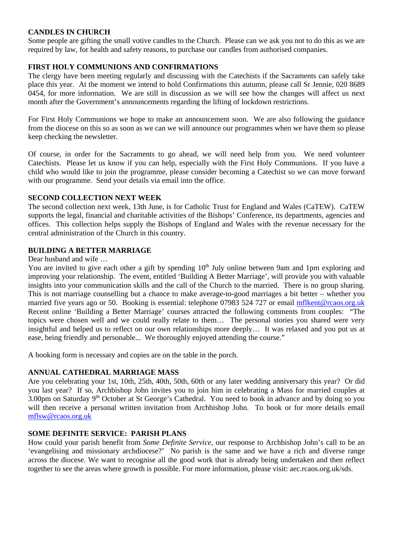#### **CANDLES IN CHURCH**

Some people are gifting the small votive candles to the Church. Please can we ask you not to do this as we are required by law, for health and safety reasons, to purchase our candles from authorised companies.

#### **FIRST HOLY COMMUNIONS AND CONFIRMATIONS**

The clergy have been meeting regularly and discussing with the Catechists if the Sacraments can safely take place this year. At the moment we intend to hold Confirmations this autumn, please call Sr Jennie, 020 8689 0454, for more information. We are still in discussion as we will see how the changes will affect us next month after the Government's announcements regarding the lifting of lockdown restrictions.

For First Holy Communions we hope to make an announcement soon. We are also following the guidance from the diocese on this so as soon as we can we will announce our programmes when we have them so please keep checking the newsletter.

Of course, in order for the Sacraments to go ahead, we will need help from you. We need volunteer Catechists. Please let us know if you can help, especially with the First Holy Communions. If you have a child who would like to join the programme, please consider becoming a Catechist so we can move forward with our programme. Send your details via email into the office.

#### **SECOND COLLECTION NEXT WEEK**

The second collection next week, 13th June, is for Catholic Trust for England and Wales (CaTEW). CaTEW supports the legal, financial and charitable activities of the Bishops' Conference, its departments, agencies and offices. This collection helps supply the Bishops of England and Wales with the revenue necessary for the central administration of the Church in this country.

#### **BUILDING A BETTER MARRIAGE**

Dear husband and wife …

You are invited to give each other a gift by spending 10<sup>th</sup> July online between 9am and 1pm exploring and improving your relationship. The event, entitled 'Building A Better Marriage', will provide you with valuable insights into your communication skills and the call of the Church to the married. There is no group sharing. This is not marriage counselling but a chance to make average-to-good marriages a bit better – whether you married five years ago or 50. Booking is essential: telephone 07983 524 727 or email mflkent@rcaos.org.uk Recent online 'Building a Better Marriage' courses attracted the following comments from couples: "The topics were chosen well and we could really relate to them… The personal stories you shared were very insightful and helped us to reflect on our own relationships more deeply… It was relaxed and you put us at ease, being friendly and personable... We thoroughly enjoyed attending the course."

A booking form is necessary and copies are on the table in the porch.

#### **ANNUAL CATHEDRAL MARRIAGE MASS**

Are you celebrating your 1st, 10th, 25th, 40th, 50th, 60th or any later wedding anniversary this year? Or did you last year? If so, Archbishop John invites you to join him in celebrating a Mass for married couples at 3.00pm on Saturday 9<sup>th</sup> October at St George's Cathedral. You need to book in advance and by doing so you will then receive a personal written invitation from Archbishop John. To book or for more details email [mflsw@rcaos.org.uk](mailto:mflsw@rcaos.org.uk)

#### **SOME DEFINITE SERVICE: PARISH PLANS**

How could your parish benefit from *Some Definite Service*, our response to Archbishop John's call to be an 'evangelising and missionary archdiocese?' No parish is the same and we have a rich and diverse range across the diocese. We want to recognise all the good work that is already being undertaken and then reflect together to see the areas where growth is possible. For more information, please visit: aec.rcaos.org.uk/sds.